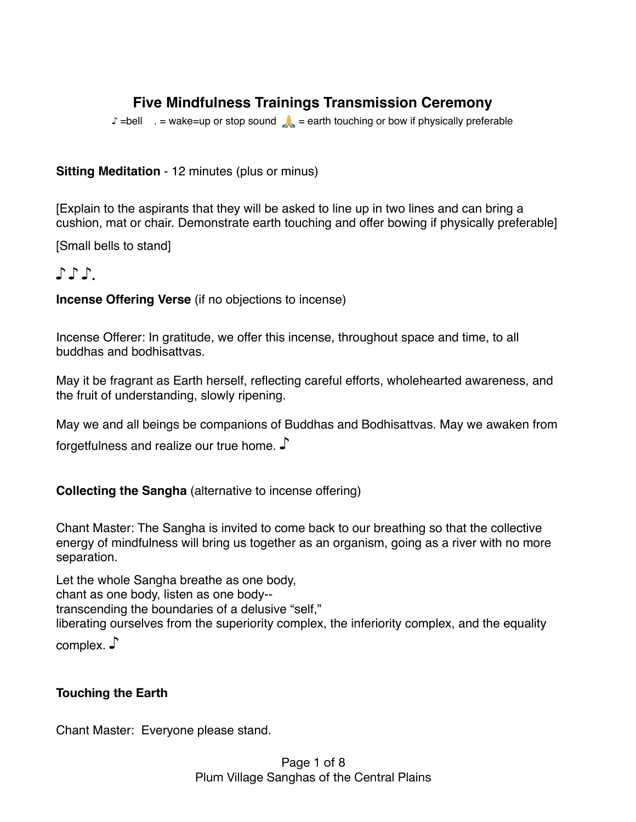# **Five Mindfulness Trainings Transmission Ceremony**

 $\Box$  =bell  $=$  = wake=up or stop sound  $\Box$  = earth touching or bow if physically preferable

### **Sitting Meditation** - 12 minutes (plus or minus)

[Explain to the aspirants that they will be asked to line up in two lines and can bring a cushion, mat or chair. Demonstrate earth touching and offer bowing if physically preferable]

[Small bells to stand]

# ♪ ♪ ♪.

**Incense Offering Verse** (if no objections to incense)

Incense Offerer: In gratitude, we offer this incense, throughout space and time, to all buddhas and bodhisattvas.

May it be fragrant as Earth herself, reflecting careful efforts, wholehearted awareness, and the fruit of understanding, slowly ripening.

May we and all beings be companions of Buddhas and Bodhisattvas. May we awaken from forgetfulness and realize our true home. ♪

### **Collecting the Sangha** (alternative to incense offering)

Chant Master: The Sangha is invited to come back to our breathing so that the collective energy of mindfulness will bring us together as an organism, going as a river with no more separation.

Let the whole Sangha breathe as one body, chant as one body, listen as one body- transcending the boundaries of a delusive "self," liberating ourselves from the superiority complex, the inferiority complex, and the equality

complex. ♪

### **Touching the Earth**

Chant Master: Everyone please stand.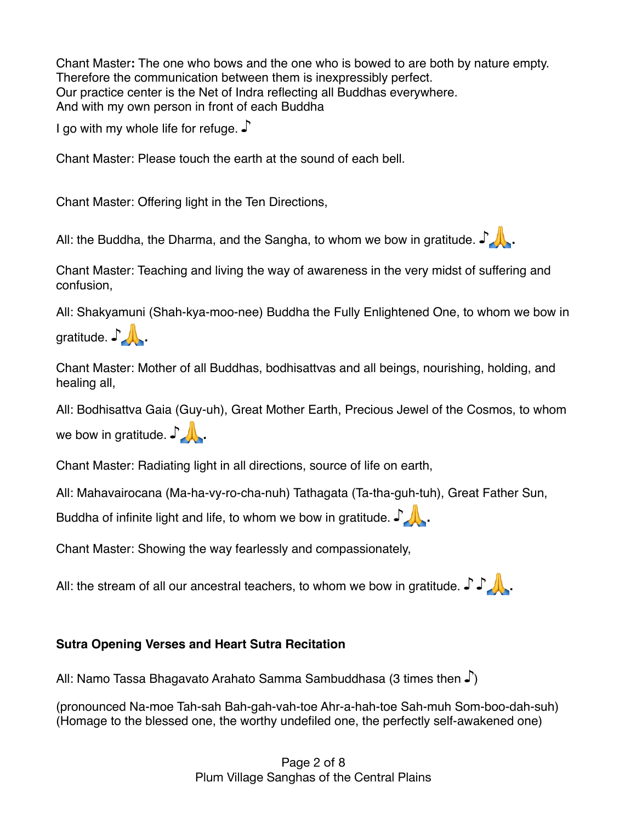Chant Master**:** The one who bows and the one who is bowed to are both by nature empty. Therefore the communication between them is inexpressibly perfect. Our practice center is the Net of Indra reflecting all Buddhas everywhere. And with my own person in front of each Buddha

I go with my whole life for refuge. J

Chant Master: Please touch the earth at the sound of each bell.

Chant Master: Offering light in the Ten Directions,

All: the Buddha, the Dharma, and the Sangha, to whom we bow in gratitude.  $\mathcal{L}$ .

Chant Master: Teaching and living the way of awareness in the very midst of suffering and confusion,

All: Shakyamuni (Shah-kya-moo-nee) Buddha the Fully Enlightened One, to whom we bow in gratitude.  $\int$ 

Chant Master: Mother of all Buddhas, bodhisattvas and all beings, nourishing, holding, and healing all,

All: Bodhisattva Gaia (Guy-uh), Great Mother Earth, Precious Jewel of the Cosmos, to whom we bow in gratitude.  $\mathcal{L}$ 

Chant Master: Radiating light in all directions, source of life on earth,

All: Mahavairocana (Ma-ha-vy-ro-cha-nuh) Tathagata (Ta-tha-guh-tuh), Great Father Sun,

Buddha of infinite light and life, to whom we bow in gratitude.  $\blacksquare$ 

Chant Master: Showing the way fearlessly and compassionately,

All: the stream of all our ancestral teachers, to whom we bow in gratitude.  $\int \int \mathbf{r}$ .

### **Sutra Opening Verses and Heart Sutra Recitation**

All: Namo Tassa Bhagavato Arahato Samma Sambuddhasa (3 times then ♪)

(pronounced Na-moe Tah-sah Bah-gah-vah-toe Ahr-a-hah-toe Sah-muh Som-boo-dah-suh) (Homage to the blessed one, the worthy undefiled one, the perfectly self-awakened one)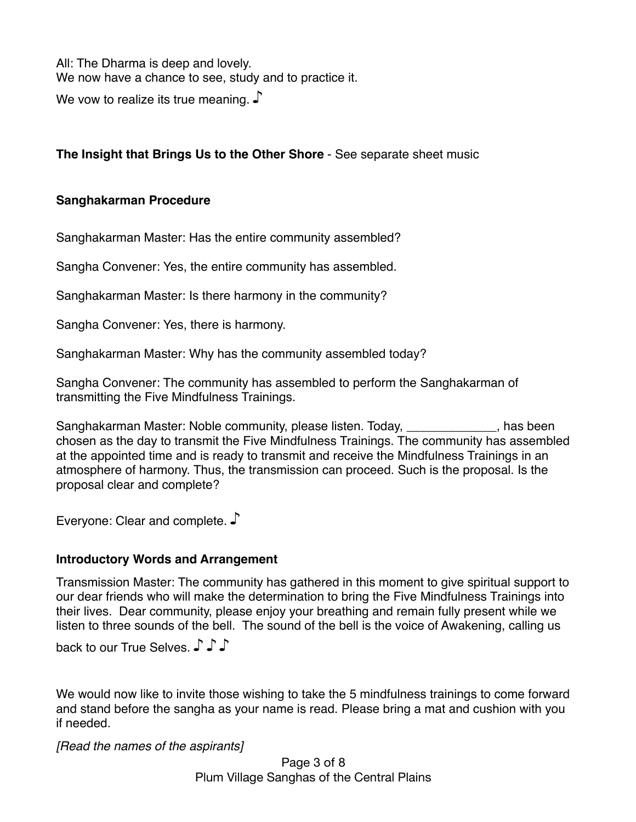All: The Dharma is deep and lovely. We now have a chance to see, study and to practice it.

We vow to realize its true meaning. J

### **The Insight that Brings Us to the Other Shore** - See separate sheet music

### **Sanghakarman Procedure**

Sanghakarman Master: Has the entire community assembled?

Sangha Convener: Yes, the entire community has assembled.

Sanghakarman Master: Is there harmony in the community?

Sangha Convener: Yes, there is harmony.

Sanghakarman Master: Why has the community assembled today?

Sangha Convener: The community has assembled to perform the Sanghakarman of transmitting the Five Mindfulness Trainings.

Sanghakarman Master: Noble community, please listen. Today, \_\_\_\_\_\_\_\_\_\_\_\_\_, has been chosen as the day to transmit the Five Mindfulness Trainings. The community has assembled at the appointed time and is ready to transmit and receive the Mindfulness Trainings in an atmosphere of harmony. Thus, the transmission can proceed. Such is the proposal. Is the proposal clear and complete?

Everyone: Clear and complete. ♪

### **Introductory Words and Arrangement**

Transmission Master: The community has gathered in this moment to give spiritual support to our dear friends who will make the determination to bring the Five Mindfulness Trainings into their lives. Dear community, please enjoy your breathing and remain fully present while we listen to three sounds of the bell. The sound of the bell is the voice of Awakening, calling us

back to our True Selves. ♪ ♪ ♪

We would now like to invite those wishing to take the 5 mindfulness trainings to come forward and stand before the sangha as your name is read. Please bring a mat and cushion with you if needed.

*[Read the names of the aspirants]*

Page 3 of 8 Plum Village Sanghas of the Central Plains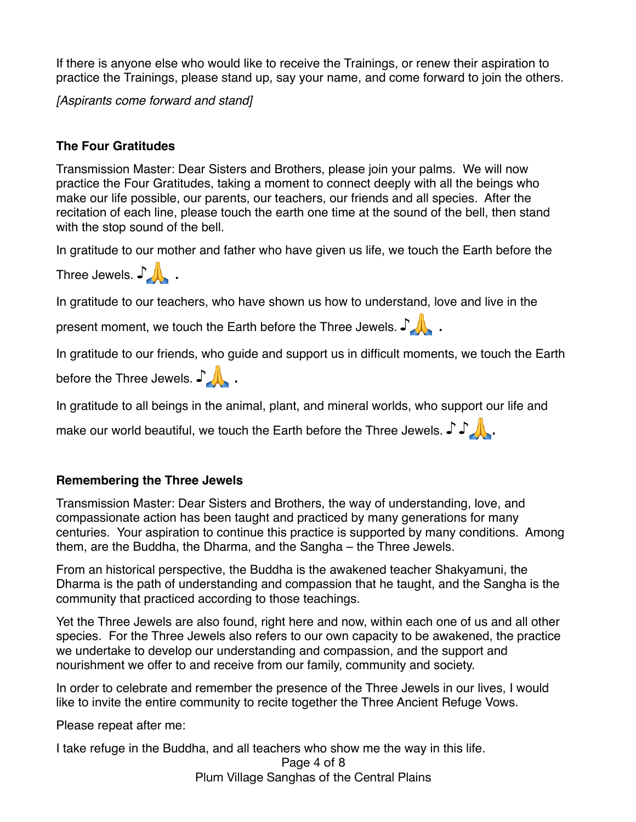If there is anyone else who would like to receive the Trainings, or renew their aspiration to practice the Trainings, please stand up, say your name, and come forward to join the others.

*[Aspirants come forward and stand]*

### **The Four Gratitudes**

Transmission Master: Dear Sisters and Brothers, please join your palms. We will now practice the Four Gratitudes, taking a moment to connect deeply with all the beings who make our life possible, our parents, our teachers, our friends and all species. After the recitation of each line, please touch the earth one time at the sound of the bell, then stand with the stop sound of the bell.

In gratitude to our mother and father who have given us life, we touch the Earth before the

Three Jewels. ♪

In gratitude to our teachers, who have shown us how to understand, love and live in the

present moment, we touch the Earth before the Three Jewels. ♪

In gratitude to our friends, who guide and support us in difficult moments, we touch the Earth

before the Three Jewels. ♪

In gratitude to all beings in the animal, plant, and mineral worlds, who support our life and

make our world beautiful, we touch the Earth before the Three Jewels.  $\int \int \int$ .

## **Remembering the Three Jewels**

Transmission Master: Dear Sisters and Brothers, the way of understanding, love, and compassionate action has been taught and practiced by many generations for many centuries. Your aspiration to continue this practice is supported by many conditions. Among them, are the Buddha, the Dharma, and the Sangha – the Three Jewels.

From an historical perspective, the Buddha is the awakened teacher Shakyamuni, the Dharma is the path of understanding and compassion that he taught, and the Sangha is the community that practiced according to those teachings.

Yet the Three Jewels are also found, right here and now, within each one of us and all other species. For the Three Jewels also refers to our own capacity to be awakened, the practice we undertake to develop our understanding and compassion, and the support and nourishment we offer to and receive from our family, community and society.

In order to celebrate and remember the presence of the Three Jewels in our lives, I would like to invite the entire community to recite together the Three Ancient Refuge Vows.

Please repeat after me:

I take refuge in the Buddha, and all teachers who show me the way in this life.

Page 4 of 8 Plum Village Sanghas of the Central Plains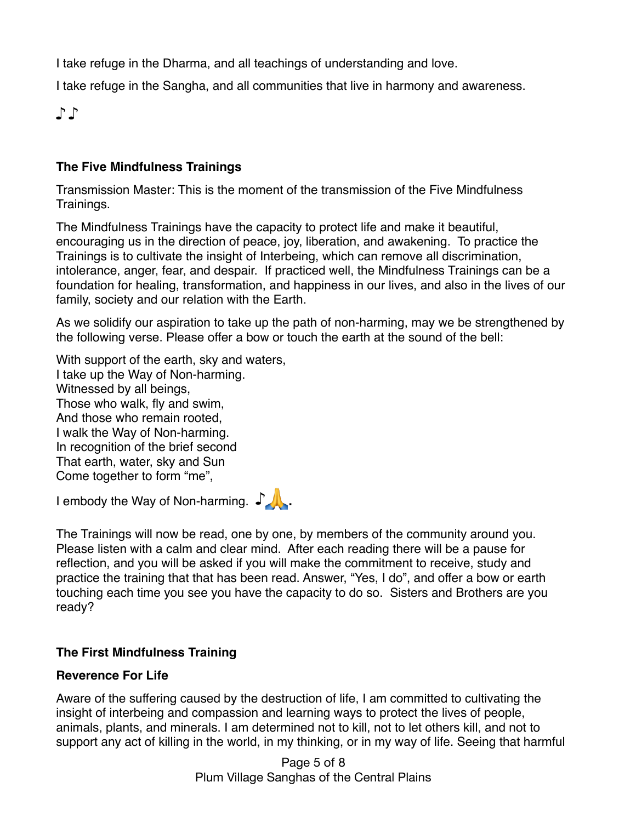I take refuge in the Dharma, and all teachings of understanding and love.

I take refuge in the Sangha, and all communities that live in harmony and awareness.

♪ ♪

### **The Five Mindfulness Trainings**

Transmission Master: This is the moment of the transmission of the Five Mindfulness Trainings.

The Mindfulness Trainings have the capacity to protect life and make it beautiful, encouraging us in the direction of peace, joy, liberation, and awakening. To practice the Trainings is to cultivate the insight of Interbeing, which can remove all discrimination, intolerance, anger, fear, and despair. If practiced well, the Mindfulness Trainings can be a foundation for healing, transformation, and happiness in our lives, and also in the lives of our family, society and our relation with the Earth.

As we solidify our aspiration to take up the path of non-harming, may we be strengthened by the following verse. Please offer a bow or touch the earth at the sound of the bell:

With support of the earth, sky and waters, I take up the Way of Non-harming. Witnessed by all beings, Those who walk, fly and swim, And those who remain rooted, I walk the Way of Non-harming. In recognition of the brief second That earth, water, sky and Sun Come together to form "me",

I embody the Way of Non-harming. ♪



The Trainings will now be read, one by one, by members of the community around you. Please listen with a calm and clear mind. After each reading there will be a pause for reflection, and you will be asked if you will make the commitment to receive, study and practice the training that that has been read. Answer, "Yes, I do", and offer a bow or earth touching each time you see you have the capacity to do so. Sisters and Brothers are you ready?

## **The First Mindfulness Training**

### **Reverence For Life**

Aware of the suffering caused by the destruction of life, I am committed to cultivating the insight of interbeing and compassion and learning ways to protect the lives of people, animals, plants, and minerals. I am determined not to kill, not to let others kill, and not to support any act of killing in the world, in my thinking, or in my way of life. Seeing that harmful

> Page 5 of 8 Plum Village Sanghas of the Central Plains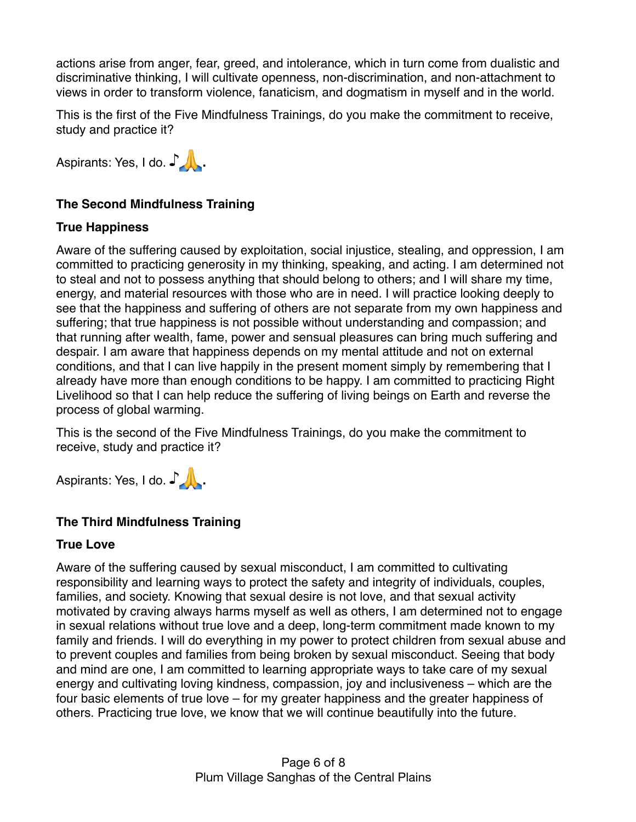actions arise from anger, fear, greed, and intolerance, which in turn come from dualistic and discriminative thinking, I will cultivate openness, non-discrimination, and non-attachment to views in order to transform violence, fanaticism, and dogmatism in myself and in the world.

This is the first of the Five Mindfulness Trainings, do you make the commitment to receive, study and practice it?

Aspirants: Yes, I do. ♪

## **The Second Mindfulness Training**

## **True Happiness**

Aware of the suffering caused by exploitation, social injustice, stealing, and oppression, I am committed to practicing generosity in my thinking, speaking, and acting. I am determined not to steal and not to possess anything that should belong to others; and I will share my time, energy, and material resources with those who are in need. I will practice looking deeply to see that the happiness and suffering of others are not separate from my own happiness and suffering; that true happiness is not possible without understanding and compassion; and that running after wealth, fame, power and sensual pleasures can bring much suffering and despair. I am aware that happiness depends on my mental attitude and not on external conditions, and that I can live happily in the present moment simply by remembering that I already have more than enough conditions to be happy. I am committed to practicing Right Livelihood so that I can help reduce the suffering of living beings on Earth and reverse the process of global warming.

This is the second of the Five Mindfulness Trainings, do you make the commitment to receive, study and practice it?

Aspirants: Yes, I do. ♪

## **The Third Mindfulness Training**

### **True Love**

Aware of the suffering caused by sexual misconduct, I am committed to cultivating responsibility and learning ways to protect the safety and integrity of individuals, couples, families, and society. Knowing that sexual desire is not love, and that sexual activity motivated by craving always harms myself as well as others, I am determined not to engage in sexual relations without true love and a deep, long-term commitment made known to my family and friends. I will do everything in my power to protect children from sexual abuse and to prevent couples and families from being broken by sexual misconduct. Seeing that body and mind are one, I am committed to learning appropriate ways to take care of my sexual energy and cultivating loving kindness, compassion, joy and inclusiveness – which are the four basic elements of true love – for my greater happiness and the greater happiness of others. Practicing true love, we know that we will continue beautifully into the future.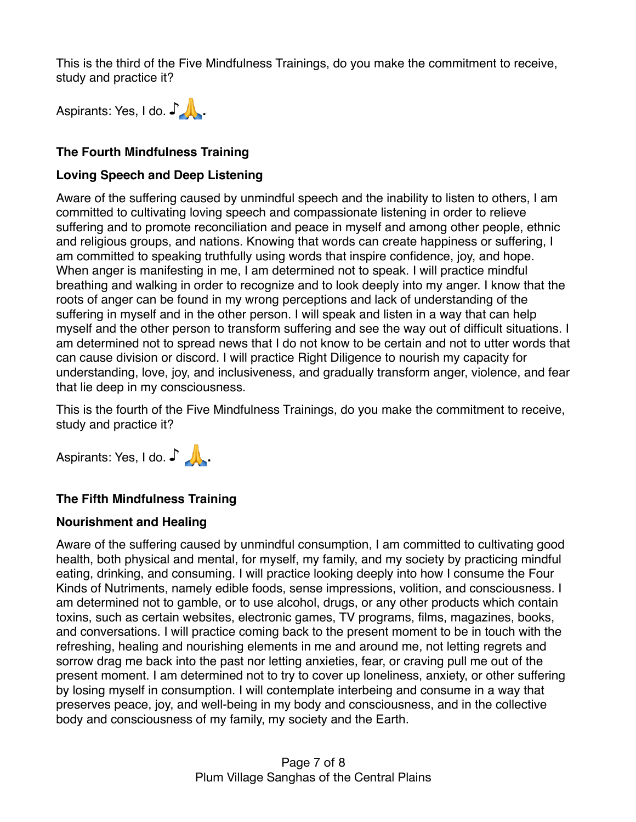This is the third of the Five Mindfulness Trainings, do you make the commitment to receive, study and practice it?



### **The Fourth Mindfulness Training**

#### **Loving Speech and Deep Listening**

Aware of the suffering caused by unmindful speech and the inability to listen to others, I am committed to cultivating loving speech and compassionate listening in order to relieve suffering and to promote reconciliation and peace in myself and among other people, ethnic and religious groups, and nations. Knowing that words can create happiness or suffering, I am committed to speaking truthfully using words that inspire confidence, joy, and hope. When anger is manifesting in me, I am determined not to speak. I will practice mindful breathing and walking in order to recognize and to look deeply into my anger. I know that the roots of anger can be found in my wrong perceptions and lack of understanding of the suffering in myself and in the other person. I will speak and listen in a way that can help myself and the other person to transform suffering and see the way out of difficult situations. I am determined not to spread news that I do not know to be certain and not to utter words that can cause division or discord. I will practice Right Diligence to nourish my capacity for understanding, love, joy, and inclusiveness, and gradually transform anger, violence, and fear that lie deep in my consciousness.

This is the fourth of the Five Mindfulness Trainings, do you make the commitment to receive, study and practice it?

Aspirants: Yes, I do. ♪ \_\_

### **The Fifth Mindfulness Training**

#### **Nourishment and Healing**

Aware of the suffering caused by unmindful consumption, I am committed to cultivating good health, both physical and mental, for myself, my family, and my society by practicing mindful eating, drinking, and consuming. I will practice looking deeply into how I consume the Four Kinds of Nutriments, namely edible foods, sense impressions, volition, and consciousness. I am determined not to gamble, or to use alcohol, drugs, or any other products which contain toxins, such as certain websites, electronic games, TV programs, films, magazines, books, and conversations. I will practice coming back to the present moment to be in touch with the refreshing, healing and nourishing elements in me and around me, not letting regrets and sorrow drag me back into the past nor letting anxieties, fear, or craving pull me out of the present moment. I am determined not to try to cover up loneliness, anxiety, or other suffering by losing myself in consumption. I will contemplate interbeing and consume in a way that preserves peace, joy, and well-being in my body and consciousness, and in the collective body and consciousness of my family, my society and the Earth.